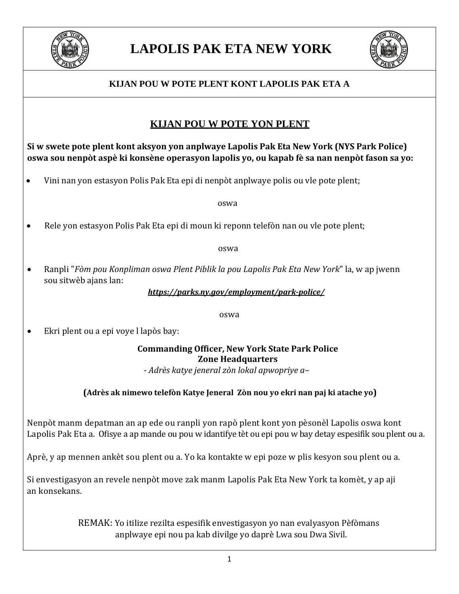

# **LAPOLIS PAK ETA NEW YORK**



### **KIJAN POU W POTE PLENT KONT LAPOLIS PAK ETA A**

### **KIJAN POU W POTE YON PLENT**

**Si w swete pote plent kont aksyon yon anplwaye Lapolis Pak Eta New York (NYS Park Police) oswa sou nenpòt aspè ki konsène operasyon lapolis yo, ou kapab fè sa nan nenpòt fason sa yo:**

• Vini nan yon estasyon Polis Pak Eta epi di nenpòt anplwaye polis ou vle pote plent;

oswa

• Rele yon estasyon Polis Pak Eta epi di moun ki reponn telefòn nan ou vle pote plent;

oswa

• Ranpli "*Fòm pou Konpliman oswa Plent Piblik la pou Lapolis Pak Eta New York*" la, w ap jwenn sou sitwèb ajans lan:

*https://parks.ny.gov/employment/park-police/*

oswa

• Ekri plent ou a epi voye l lapòs bay:

**Commanding Officer, New York State Park Police Zone Headquarters**

*- Adrès katye jeneral zòn lokal apwopriye a–*

### **(Adrès ak nimewo telefòn Katye Jeneral Zòn nou yo ekri nan paj ki atache yo)**

Nenpòt manm depatman an ap ede ou ranpli yon rapò plent kont yon pèsonèl Lapolis oswa kont Lapolis Pak Eta a. Ofisye a ap mande ou pou w idantifye tèt ou epi pou w bay detay espesifik sou plent ou a.

Aprè, y ap mennen ankèt sou plent ou a. Yo ka kontakte w epi poze w plis kesyon sou plent ou a.

Si envestigasyon an revele nenpòt move zak manm Lapolis Pak Eta New York ta komèt, y ap aji an konsekans.

> REMAK: Yo itilize rezilta espesifik envestigasyon yo nan evalyasyon Pèfòmans anplwaye epi nou pa kab divilge yo daprè Lwa sou Dwa Sivil.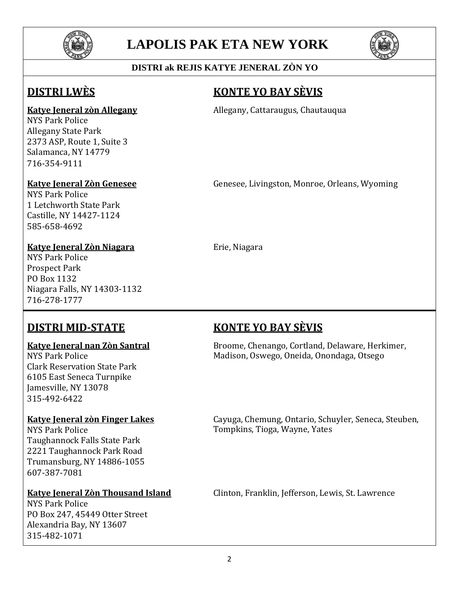

# **LAPOLIS PAK ETA NEW YORK**



### **DISTRI ak REJIS KATYE JENERAL ZÒN YO**

NYS Park Police Allegany State Park 2373 ASP, Route 1, Suite 3 Salamanca, NY 14779 716-354-9111

NYS Park Police 1 Letchworth State Park Castille, NY 14427-1124 585-658-4692

### **Katye Jeneral Zòn Niagara** Erie, Niagara

NYS Park Police Prospect Park PO Box 1132 Niagara Falls, NY 14303-1132 716-278-1777

Clark Reservation State Park 6105 East Seneca Turnpike Jamesville, NY 13078 315-492-6422

Taughannock Falls State Park 2221 Taughannock Park Road Trumansburg, NY 14886-1055 607-387-7081

NYS Park Police PO Box 247, 45449 Otter Street Alexandria Bay, NY 13607 315-482-1071

## **DISTRI LWÈS KONTE YO BAY SÈVIS**

**Katye Jeneral zòn Allegany Allegany**, Cattaraugus, Chautauqua

**Katye Jeneral Zòn Genesee** Genesee, Livingston, Monroe, Orleans, Wyoming

## **DISTRI MID-STATE KONTE YO BAY SÈVIS**

**Katye Jeneral nan Zòn Santral** Broome, Chenango, Cortland, Delaware, Herkimer, Madison, Oswego, Oneida, Onondaga, Otsego

**Katye Jeneral zòn Finger Lakes** Cayuga, Chemung, Ontario, Schuyler, Seneca, Steuben, Tompkins, Tioga, Wayne, Yates

**Katye Jeneral Zòn Thousand Island** Clinton, Franklin, Jefferson, Lewis, St. Lawrence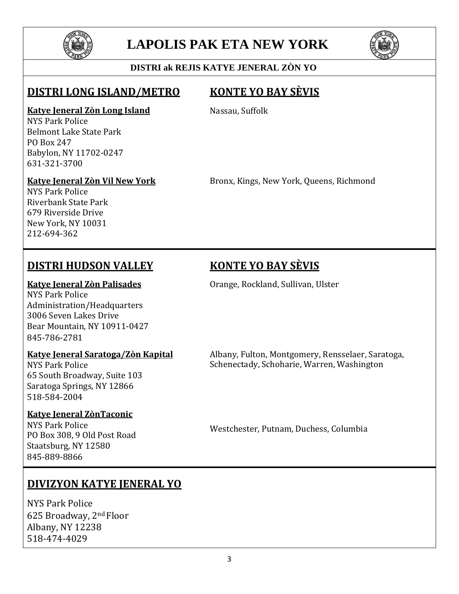

# **LAPOLIS PAK ETA NEW YORK**



### **DISTRI ak REJIS KATYE JENERAL ZÒN YO**

### **DISTRI LONG ISLAND/METRO KONTE YO BAY SÈVIS**

### **Katye Jeneral Zòn Long Island**

NYS Park Police Belmont Lake State Park PO Box 247 Babylon, NY 11702-0247 631-321-3700

### **Katye Jeneral Zòn Vil New York**

Nassau, Suffolk

Bronx, Kings, New York, Queens, Richmond

NYS Park Police Riverbank State Park 679 Riverside Drive New York, NY 10031 212-694-362

## **DISTRI HUDSON VALLEY KONTE YO BAY SÈVIS**

NYS Park Police Administration/Headquarters 3006 Seven Lakes Drive Bear Mountain, NY 10911-0427 845-786-2781

65 South Broadway, Suite 103 Saratoga Springs, NY 12866 518-584-2004

### **Katye Jeneral ZònTaconic**

NYS Park Police<br>PO Box 308, 9 Old Post Road Staatsburg, NY 12580 845-889-8866

## **DIVIZYON KATYE JENERAL YO**

NYS Park Police 625 Broadway, 2nd Floor Albany, NY 12238 518-474-4029

**Katye Jeneral Zòn Palisades Canades** Orange, Rockland, Sullivan, Ulster

**Katye Jeneral Saratoga/Zòn Kapital** Albany, Fulton, Montgomery, Rensselaer, Saratoga, Schenectady, Schoharie, Warren, Washington

Westchester, Putnam, Duchess, Columbia

3